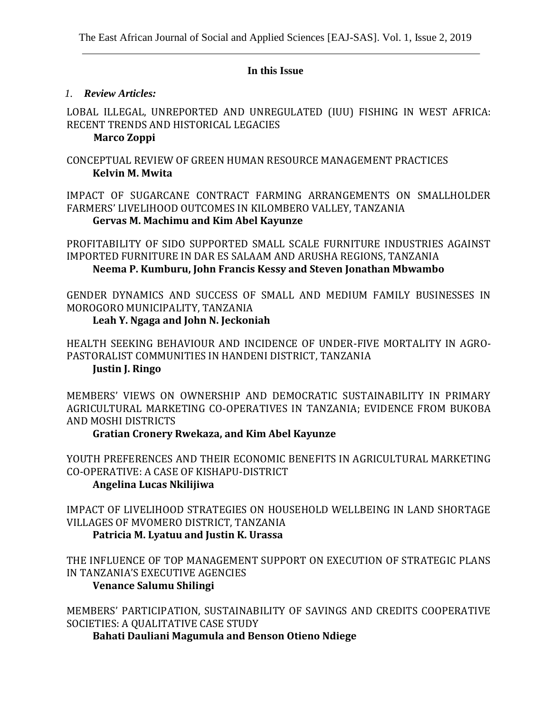### **In this Issue**

### *1. Review Articles:*

LOBAL ILLEGAL, UNREPORTED AND UNREGULATED (IUU) FISHING IN WEST AFRICA: RECENT TRENDS AND HISTORICAL LEGACIES

## **Marco Zoppi**

## CONCEPTUAL REVIEW OF GREEN HUMAN RESOURCE MANAGEMENT PRACTICES **Kelvin M. Mwita**

IMPACT OF SUGARCANE CONTRACT FARMING ARRANGEMENTS ON SMALLHOLDER FARMERS' LIVELIHOOD OUTCOMES IN KILOMBERO VALLEY, TANZANIA

### **Gervas M. Machimu and Kim Abel Kayunze**

PROFITABILITY OF SIDO SUPPORTED SMALL SCALE FURNITURE INDUSTRIES AGAINST IMPORTED FURNITURE IN DAR ES SALAAM AND ARUSHA REGIONS, TANZANIA  **Neema P. Kumburu, John Francis Kessy and Steven Jonathan Mbwambo**

GENDER DYNAMICS AND SUCCESS OF SMALL AND MEDIUM FAMILY BUSINESSES IN MOROGORO MUNICIPALITY, TANZANIA

### **Leah Y. Ngaga and John N. Jeckoniah**

HEALTH SEEKING BEHAVIOUR AND INCIDENCE OF UNDER-FIVE MORTALITY IN AGRO-PASTORALIST COMMUNITIES IN HANDENI DISTRICT, TANZANIA **Justin J. Ringo** 

MEMBERS' VIEWS ON OWNERSHIP AND DEMOCRATIC SUSTAINABILITY IN PRIMARY AGRICULTURAL MARKETING CO-OPERATIVES IN TANZANIA; EVIDENCE FROM BUKOBA AND MOSHI DISTRICTS

**Gratian Cronery Rwekaza, and Kim Abel Kayunze**

YOUTH PREFERENCES AND THEIR ECONOMIC BENEFITS IN AGRICULTURAL MARKETING CO-OPERATIVE: A CASE OF KISHAPU-DISTRICT

## **Angelina Lucas Nkilijiwa**

IMPACT OF LIVELIHOOD STRATEGIES ON HOUSEHOLD WELLBEING IN LAND SHORTAGE VILLAGES OF MVOMERO DISTRICT, TANZANIA

 **Patricia M. Lyatuu and Justin K. Urassa**

THE INFLUENCE OF TOP MANAGEMENT SUPPORT ON EXECUTION OF STRATEGIC PLANS IN TANZANIA'S EXECUTIVE AGENCIES

## **Venance Salumu Shilingi**

MEMBERS' PARTICIPATION, SUSTAINABILITY OF SAVINGS AND CREDITS COOPERATIVE SOCIETIES: A QUALITATIVE CASE STUDY

 **Bahati Dauliani Magumula and Benson Otieno Ndiege**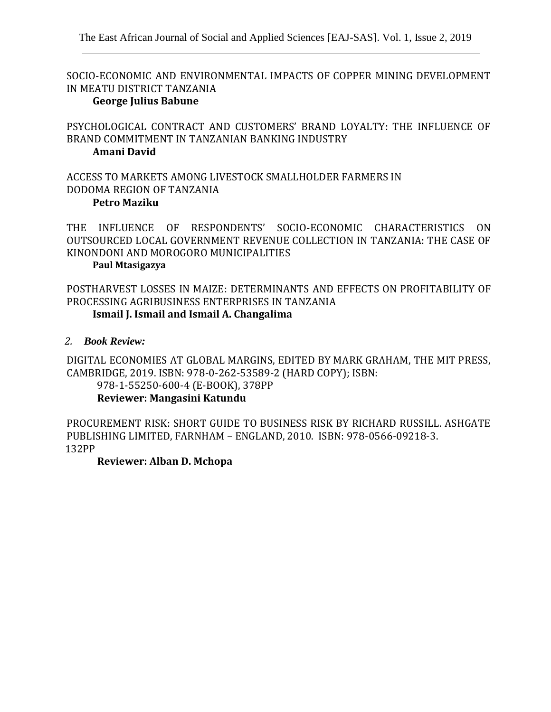SOCIO-ECONOMIC AND ENVIRONMENTAL IMPACTS OF COPPER MINING DEVELOPMENT IN MEATU DISTRICT TANZANIA

#### **George Julius Babune**

PSYCHOLOGICAL CONTRACT AND CUSTOMERS' BRAND LOYALTY: THE INFLUENCE OF BRAND COMMITMENT IN TANZANIAN BANKING INDUSTRY

#### **Amani David**

ACCESS TO MARKETS AMONG LIVESTOCK SMALLHOLDER FARMERS IN DODOMA REGION OF TANZANIA **Petro Maziku**

THE INFLUENCE OF RESPONDENTS' SOCIO-ECONOMIC CHARACTERISTICS ON OUTSOURCED LOCAL GOVERNMENT REVENUE COLLECTION IN TANZANIA: THE CASE OF KINONDONI AND MOROGORO MUNICIPALITIES

#### **Paul Mtasigazya**

POSTHARVEST LOSSES IN MAIZE: DETERMINANTS AND EFFECTS ON PROFITABILITY OF PROCESSING AGRIBUSINESS ENTERPRISES IN TANZANIA **Ismail J. Ismail and Ismail A. Changalima**

### *2. Book Review:*

DIGITAL ECONOMIES AT GLOBAL MARGINS, EDITED BY MARK GRAHAM, THE MIT PRESS, CAMBRIDGE, 2019. ISBN: 978-0-262-53589-2 (HARD COPY); ISBN:

978-1-55250-600-4 (E-BOOK), 378PP

## **Reviewer: Mangasini Katundu**

PROCUREMENT RISK: SHORT GUIDE TO BUSINESS RISK BY RICHARD RUSSILL. ASHGATE PUBLISHING LIMITED, FARNHAM – ENGLAND, 2010. ISBN: 978-0566-09218-3. 132PP

## **Reviewer: Alban D. Mchopa**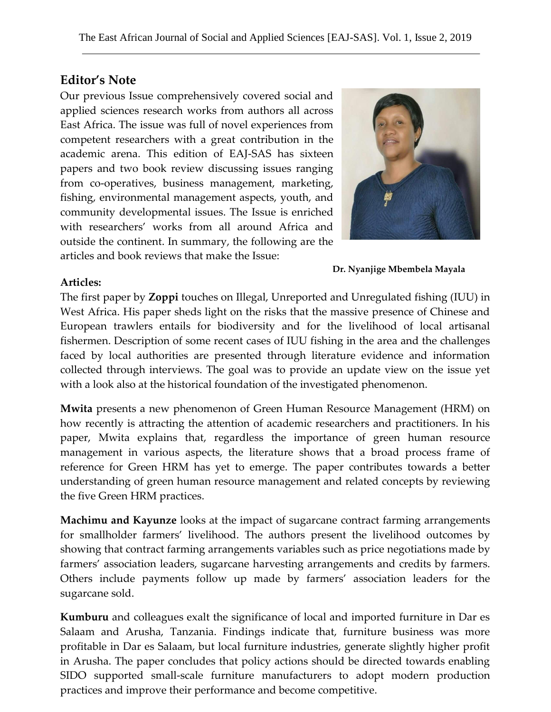# **Editor's Note**

Our previous Issue comprehensively covered social and applied sciences research works from authors all across East Africa. The issue was full of novel experiences from competent researchers with a great contribution in the academic arena. This edition of EAJ-SAS has sixteen papers and two book review discussing issues ranging from co-operatives, business management, marketing, fishing, environmental management aspects, youth, and community developmental issues. The Issue is enriched with researchers' works from all around Africa and outside the continent. In summary, the following are the articles and book reviews that make the Issue:



 **Dr. Nyanjige Mbembela Mayala**

## **Articles:**

The first paper by **Zoppi** touches on Illegal, Unreported and Unregulated fishing (IUU) in West Africa. His paper sheds light on the risks that the massive presence of Chinese and European trawlers entails for biodiversity and for the livelihood of local artisanal fishermen. Description of some recent cases of IUU fishing in the area and the challenges faced by local authorities are presented through literature evidence and information collected through interviews. The goal was to provide an update view on the issue yet with a look also at the historical foundation of the investigated phenomenon.

**Mwita** presents a new phenomenon of Green Human Resource Management (HRM) on how recently is attracting the attention of academic researchers and practitioners. In his paper, Mwita explains that, regardless the importance of green human resource management in various aspects, the literature shows that a broad process frame of reference for Green HRM has yet to emerge. The paper contributes towards a better understanding of green human resource management and related concepts by reviewing the five Green HRM practices.

**Machimu and Kayunze** looks at the impact of sugarcane contract farming arrangements for smallholder farmers' livelihood. The authors present the livelihood outcomes by showing that contract farming arrangements variables such as price negotiations made by farmers' association leaders, sugarcane harvesting arrangements and credits by farmers. Others include payments follow up made by farmers' association leaders for the sugarcane sold.

**Kumburu** and colleagues exalt the significance of local and imported furniture in Dar es Salaam and Arusha, Tanzania. Findings indicate that, furniture business was more profitable in Dar es Salaam, but local furniture industries, generate slightly higher profit in Arusha. The paper concludes that policy actions should be directed towards enabling SIDO supported small-scale furniture manufacturers to adopt modern production practices and improve their performance and become competitive.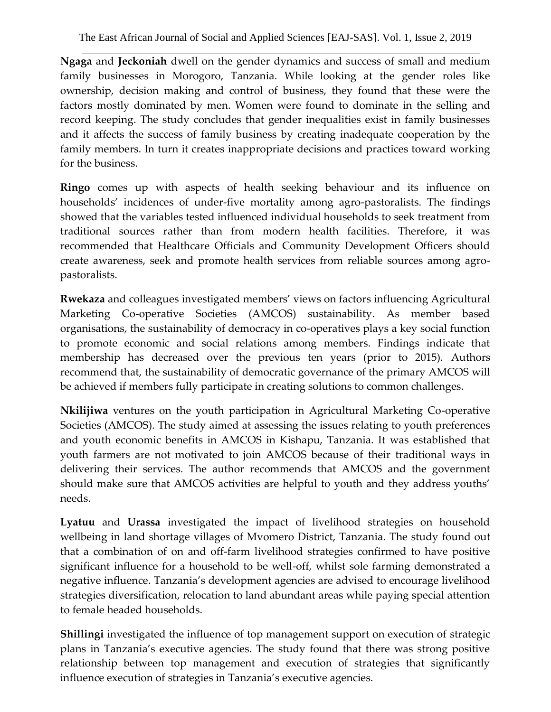**Ngaga** and **Jeckoniah** dwell on the gender dynamics and success of small and medium family businesses in Morogoro, Tanzania. While looking at the gender roles like ownership, decision making and control of business, they found that these were the factors mostly dominated by men. Women were found to dominate in the selling and record keeping. The study concludes that gender inequalities exist in family businesses and it affects the success of family business by creating inadequate cooperation by the family members. In turn it creates inappropriate decisions and practices toward working for the business.

**Ringo** comes up with aspects of health seeking behaviour and its influence on households' incidences of under-five mortality among agro-pastoralists. The findings showed that the variables tested influenced individual households to seek treatment from traditional sources rather than from modern health facilities. Therefore, it was recommended that Healthcare Officials and Community Development Officers should create awareness, seek and promote health services from reliable sources among agropastoralists.

**Rwekaza** and colleagues investigated members' views on factors influencing Agricultural Marketing Co-operative Societies (AMCOS) sustainability. As member based organisations, the sustainability of democracy in co-operatives plays a key social function to promote economic and social relations among members. Findings indicate that membership has decreased over the previous ten years (prior to 2015). Authors recommend that, the sustainability of democratic governance of the primary AMCOS will be achieved if members fully participate in creating solutions to common challenges.

**Nkilijiwa** ventures on the youth participation in Agricultural Marketing Co-operative Societies (AMCOS). The study aimed at assessing the issues relating to youth preferences and youth economic benefits in AMCOS in Kishapu, Tanzania. It was established that youth farmers are not motivated to join AMCOS because of their traditional ways in delivering their services. The author recommends that AMCOS and the government should make sure that AMCOS activities are helpful to youth and they address youths' needs.

**Lyatuu** and **Urassa** investigated the impact of livelihood strategies on household wellbeing in land shortage villages of Mvomero District, Tanzania. The study found out that a combination of on and off-farm livelihood strategies confirmed to have positive significant influence for a household to be well-off, whilst sole farming demonstrated a negative influence. Tanzania's development agencies are advised to encourage livelihood strategies diversification, relocation to land abundant areas while paying special attention to female headed households.

**Shillingi** investigated the influence of top management support on execution of strategic plans in Tanzania's executive agencies. The study found that there was strong positive relationship between top management and execution of strategies that significantly influence execution of strategies in Tanzania's executive agencies.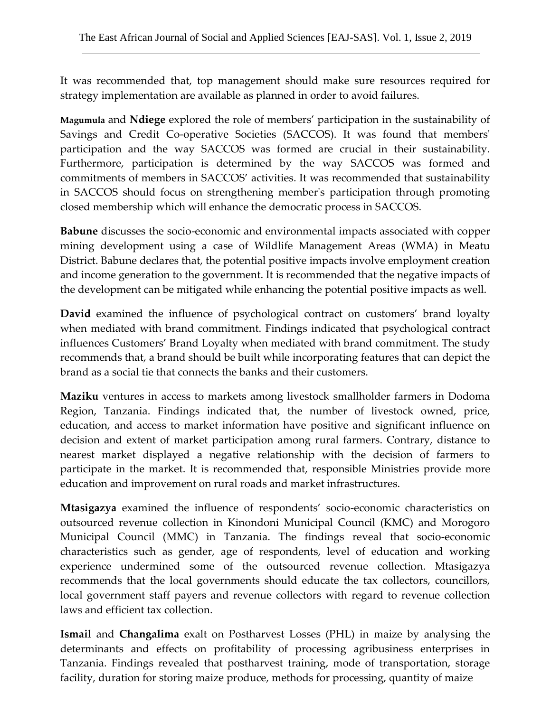It was recommended that, top management should make sure resources required for strategy implementation are available as planned in order to avoid failures.

**Magumula** and **Ndiege** explored the role of members' participation in the sustainability of Savings and Credit Co-operative Societies (SACCOS). It was found that members' participation and the way SACCOS was formed are crucial in their sustainability. Furthermore, participation is determined by the way SACCOS was formed and commitments of members in SACCOS' activities. It was recommended that sustainability in SACCOS should focus on strengthening member's participation through promoting closed membership which will enhance the democratic process in SACCOS.

**Babune** discusses the socio-economic and environmental impacts associated with copper mining development using a case of Wildlife Management Areas (WMA) in Meatu District. Babune declares that, the potential positive impacts involve employment creation and income generation to the government. It is recommended that the negative impacts of the development can be mitigated while enhancing the potential positive impacts as well.

**David** examined the influence of psychological contract on customers' brand loyalty when mediated with brand commitment. Findings indicated that psychological contract influences Customers' Brand Loyalty when mediated with brand commitment. The study recommends that, a brand should be built while incorporating features that can depict the brand as a social tie that connects the banks and their customers.

**Maziku** ventures in access to markets among livestock smallholder farmers in Dodoma Region, Tanzania. Findings indicated that, the number of livestock owned, price, education, and access to market information have positive and significant influence on decision and extent of market participation among rural farmers. Contrary, distance to nearest market displayed a negative relationship with the decision of farmers to participate in the market. It is recommended that, responsible Ministries provide more education and improvement on rural roads and market infrastructures.

**Mtasigazya** examined the influence of respondents' socio-economic characteristics on outsourced revenue collection in Kinondoni Municipal Council (KMC) and Morogoro Municipal Council (MMC) in Tanzania. The findings reveal that socio-economic characteristics such as gender, age of respondents, level of education and working experience undermined some of the outsourced revenue collection. Mtasigazya recommends that the local governments should educate the tax collectors, councillors, local government staff payers and revenue collectors with regard to revenue collection laws and efficient tax collection.

**Ismail** and **Changalima** exalt on Postharvest Losses (PHL) in maize by analysing the determinants and effects on profitability of processing agribusiness enterprises in Tanzania. Findings revealed that postharvest training, mode of transportation, storage facility, duration for storing maize produce, methods for processing, quantity of maize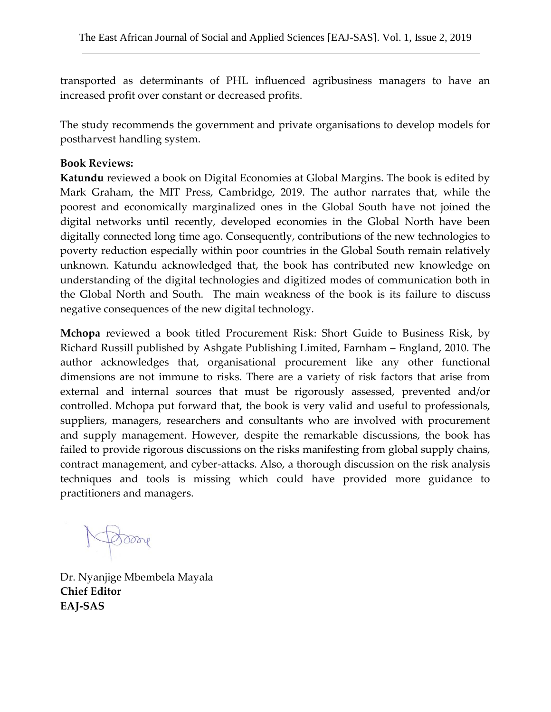transported as determinants of PHL influenced agribusiness managers to have an increased profit over constant or decreased profits.

The study recommends the government and private organisations to develop models for postharvest handling system.

## **Book Reviews:**

**Katundu** reviewed a book on Digital Economies at Global Margins. The book is edited by Mark Graham, the MIT Press, Cambridge, 2019. The author narrates that, while the poorest and economically marginalized ones in the Global South have not joined the digital networks until recently, developed economies in the Global North have been digitally connected long time ago. Consequently, contributions of the new technologies to poverty reduction especially within poor countries in the Global South remain relatively unknown. Katundu acknowledged that, the book has contributed new knowledge on understanding of the digital technologies and digitized modes of communication both in the Global North and South. The main weakness of the book is its failure to discuss negative consequences of the new digital technology.

**Mchopa** reviewed a book titled Procurement Risk: Short Guide to Business Risk, by Richard Russill published by Ashgate Publishing Limited, Farnham – England, 2010. The author acknowledges that, organisational procurement like any other functional dimensions are not immune to risks. There are a variety of risk factors that arise from external and internal sources that must be rigorously assessed, prevented and/or controlled. Mchopa put forward that, the book is very valid and useful to professionals, suppliers, managers, researchers and consultants who are involved with procurement and supply management. However, despite the remarkable discussions, the book has failed to provide rigorous discussions on the risks manifesting from global supply chains, contract management, and cyber-attacks. Also, a thorough discussion on the risk analysis techniques and tools is missing which could have provided more guidance to practitioners and managers.

 $\delta$ orre

Dr. Nyanjige Mbembela Mayala **Chief Editor EAJ-SAS**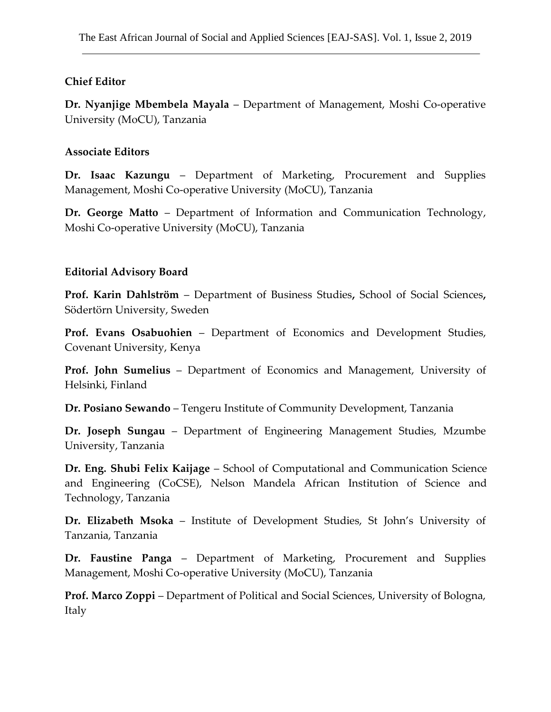## **Chief Editor**

**Dr. Nyanjige Mbembela Mayala** – Department of Management, Moshi Co-operative University (MoCU), Tanzania

## **Associate Editors**

**Dr. Isaac Kazungu** – Department of Marketing, Procurement and Supplies Management, Moshi Co-operative University (MoCU), Tanzania

**Dr. George Matto** – Department of Information and Communication Technology, Moshi Co-operative University (MoCU), Tanzania

## **Editorial Advisory Board**

**Prof. Karin Dahlström** – Department of Business Studies**,** School of Social Sciences**,** Södertörn University, Sweden

**Prof. Evans Osabuohien** – Department of Economics and Development Studies, Covenant University, Kenya

**Prof. John Sumelius** – Department of Economics and Management, University of Helsinki, Finland

**Dr. Posiano Sewando** – Tengeru Institute of Community Development, Tanzania

**Dr. Joseph Sungau** – Department of Engineering Management Studies, Mzumbe University, Tanzania

**Dr. Eng. Shubi Felix Kaijage** – School of Computational and Communication Science and Engineering (CoCSE), Nelson Mandela African Institution of Science and Technology, Tanzania

**Dr. Elizabeth Msoka** – Institute of Development Studies, St John's University of Tanzania, Tanzania

**Dr. Faustine Panga** – Department of Marketing, Procurement and Supplies Management, Moshi Co-operative University (MoCU), Tanzania

**Prof. Marco Zoppi** – Department of Political and Social Sciences, University of Bologna, Italy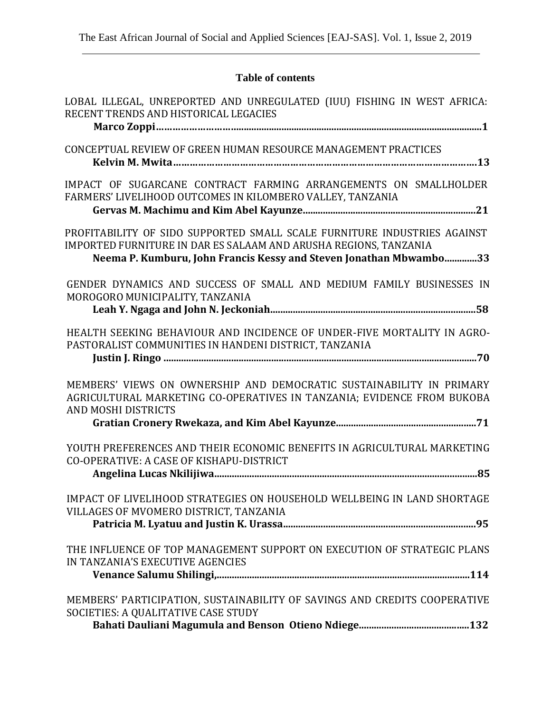# **Table of contents**

| LOBAL ILLEGAL, UNREPORTED AND UNREGULATED (IUU) FISHING IN WEST AFRICA:<br>RECENT TRENDS AND HISTORICAL LEGACIES                                                                                                   |
|--------------------------------------------------------------------------------------------------------------------------------------------------------------------------------------------------------------------|
|                                                                                                                                                                                                                    |
| CONCEPTUAL REVIEW OF GREEN HUMAN RESOURCE MANAGEMENT PRACTICES                                                                                                                                                     |
| IMPACT OF SUGARCANE CONTRACT FARMING ARRANGEMENTS ON SMALLHOLDER<br>FARMERS' LIVELIHOOD OUTCOMES IN KILOMBERO VALLEY, TANZANIA                                                                                     |
| PROFITABILITY OF SIDO SUPPORTED SMALL SCALE FURNITURE INDUSTRIES AGAINST<br>IMPORTED FURNITURE IN DAR ES SALAAM AND ARUSHA REGIONS, TANZANIA<br>Neema P. Kumburu, John Francis Kessy and Steven Jonathan Mbwambo33 |
| GENDER DYNAMICS AND SUCCESS OF SMALL AND MEDIUM FAMILY BUSINESSES IN<br>MOROGORO MUNICIPALITY, TANZANIA                                                                                                            |
| HEALTH SEEKING BEHAVIOUR AND INCIDENCE OF UNDER-FIVE MORTALITY IN AGRO-<br>PASTORALIST COMMUNITIES IN HANDENI DISTRICT, TANZANIA                                                                                   |
| MEMBERS' VIEWS ON OWNERSHIP AND DEMOCRATIC SUSTAINABILITY IN PRIMARY<br>AGRICULTURAL MARKETING CO-OPERATIVES IN TANZANIA; EVIDENCE FROM BUKOBA<br>AND MOSHI DISTRICTS                                              |
| YOUTH PREFERENCES AND THEIR ECONOMIC BENEFITS IN AGRICULTURAL MARKETING<br>CO-OPERATIVE: A CASE OF KISHAPU-DISTRICT                                                                                                |
| IMPACT OF LIVELIHOOD STRATEGIES ON HOUSEHOLD WELLBEING IN LAND SHORTAGE<br>VILLAGES OF MVOMERO DISTRICT, TANZANIA                                                                                                  |
| THE INFLUENCE OF TOP MANAGEMENT SUPPORT ON EXECUTION OF STRATEGIC PLANS<br>IN TANZANIA'S EXECUTIVE AGENCIES                                                                                                        |
| MEMBERS' PARTICIPATION, SUSTAINABILITY OF SAVINGS AND CREDITS COOPERATIVE<br>SOCIETIES: A QUALITATIVE CASE STUDY                                                                                                   |